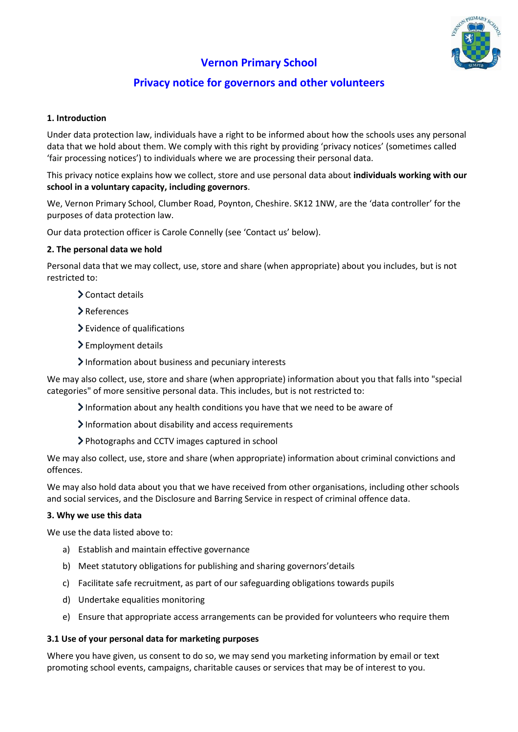

# **Vernon Primary School**

# **Privacy notice for governors and other volunteers**

# **1. Introduction**

Under data protection law, individuals have a right to be informed about how the schools uses any personal data that we hold about them. We comply with this right by providing 'privacy notices' (sometimes called 'fair processing notices') to individuals where we are processing their personal data.

This privacy notice explains how we collect, store and use personal data about **individuals working with our school in a voluntary capacity, including governors**.

We, Vernon Primary School, Clumber Road, Poynton, Cheshire. SK12 1NW, are the 'data controller' for the purposes of data protection law.

Our data protection officer is Carole Connelly (see 'Contact us' below).

#### **2. The personal data we hold**

Personal data that we may collect, use, store and share (when appropriate) about you includes, but is not restricted to:

- Contact details
- References
- Evidence of qualifications
- > Employment details
- Information about business and pecuniary interests

We may also collect, use, store and share (when appropriate) information about you that falls into "special categories" of more sensitive personal data. This includes, but is not restricted to:

- $\blacktriangleright$  Information about any health conditions you have that we need to be aware of
- $\blacktriangleright$  Information about disability and access requirements
- Photographs and CCTV images captured in school

We may also collect, use, store and share (when appropriate) information about criminal convictions and offences.

We may also hold data about you that we have received from other organisations, including other schools and social services, and the Disclosure and Barring Service in respect of criminal offence data.

#### **3. Why we use this data**

We use the data listed above to:

- a) Establish and maintain effective governance
- b) Meet statutory obligations for publishing and sharing governors'details
- c) Facilitate safe recruitment, as part of our safeguarding obligations towards pupils
- d) Undertake equalities monitoring
- e) Ensure that appropriate access arrangements can be provided for volunteers who require them

#### **3.1 Use of your personal data for marketing purposes**

Where you have given, us consent to do so, we may send you marketing information by email or text promoting school events, campaigns, charitable causes or services that may be of interest to you.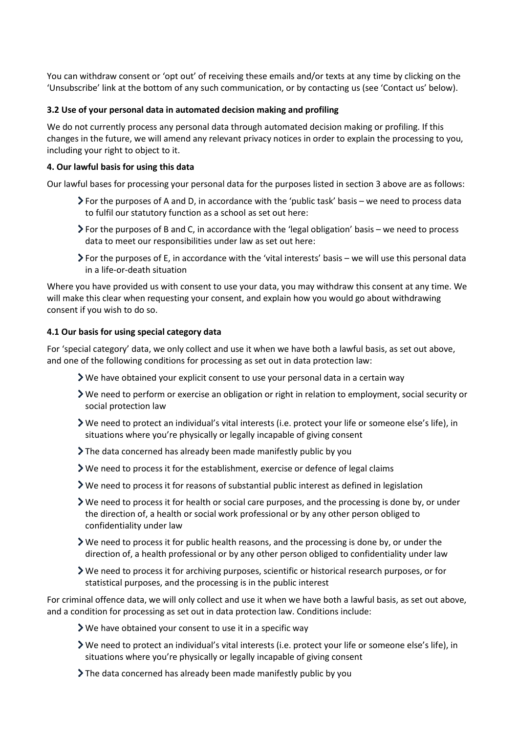You can withdraw consent or 'opt out' of receiving these emails and/or texts at any time by clicking on the 'Unsubscribe' link at the bottom of any such communication, or by contacting us (see 'Contact us' below).

# **3.2 Use of your personal data in automated decision making and profiling**

We do not currently process any personal data through automated decision making or profiling. If this changes in the future, we will amend any relevant privacy notices in order to explain the processing to you, including your right to object to it.

# **4. Our lawful basis for using this data**

Our lawful bases for processing your personal data for the purposes listed in section 3 above are as follows:

- For the purposes of A and D, in accordance with the 'public task' basis we need to process data to fulfil our statutory function as a school as set out here:
- For the purposes of B and C, in accordance with the 'legal obligation' basis we need to process data to meet our responsibilities under law as set out here:
- For the purposes of E, in accordance with the 'vital interests' basis we will use this personal data in a life-or-death situation

Where you have provided us with consent to use your data, you may withdraw this consent at any time. We will make this clear when requesting your consent, and explain how you would go about withdrawing consent if you wish to do so.

# **4.1 Our basis for using special category data**

For 'special category' data, we only collect and use it when we have both a lawful basis, as set out above, and one of the following conditions for processing as set out in data protection law:

- $\triangleright$  We have obtained your explicit consent to use your personal data in a certain way
- We need to perform or exercise an obligation or right in relation to employment, social security or social protection law
- We need to protect an individual's vital interests (i.e. protect your life or someone else's life), in situations where you're physically or legally incapable of giving consent
- The data concerned has already been made manifestly public by you
- We need to process it for the establishment, exercise or defence of legal claims
- $\triangleright$  We need to process it for reasons of substantial public interest as defined in legislation
- $\triangleright$  We need to process it for health or social care purposes, and the processing is done by, or under the direction of, a health or social work professional or by any other person obliged to confidentiality under law
- We need to process it for public health reasons, and the processing is done by, or under the direction of, a health professional or by any other person obliged to confidentiality under law
- We need to process it for archiving purposes, scientific or historical research purposes, or for statistical purposes, and the processing is in the public interest

For criminal offence data, we will only collect and use it when we have both a lawful basis, as set out above, and a condition for processing as set out in data protection law. Conditions include:

- We have obtained your consent to use it in a specific way
- We need to protect an individual's vital interests (i.e. protect your life or someone else's life), in situations where you're physically or legally incapable of giving consent
- The data concerned has already been made manifestly public by you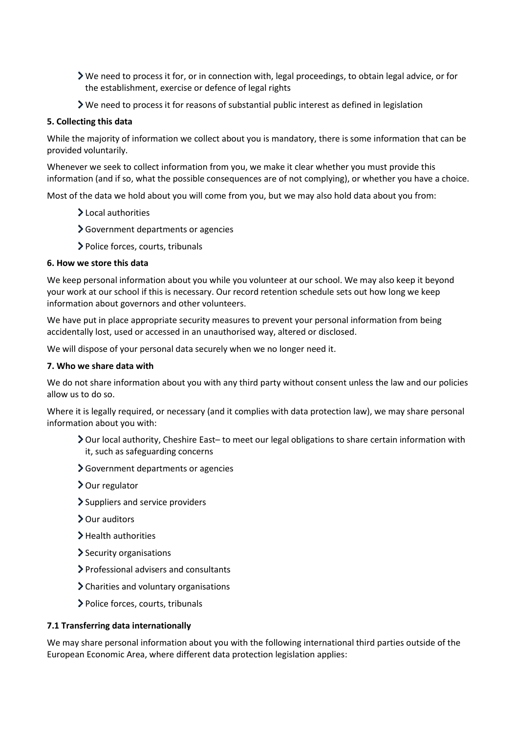- We need to process it for, or in connection with, legal proceedings, to obtain legal advice, or for the establishment, exercise or defence of legal rights
- We need to process it for reasons of substantial public interest as defined in legislation

# **5. Collecting this data**

While the majority of information we collect about you is mandatory, there is some information that can be provided voluntarily.

Whenever we seek to collect information from you, we make it clear whether you must provide this information (and if so, what the possible consequences are of not complying), or whether you have a choice.

Most of the data we hold about you will come from you, but we may also hold data about you from:

- > Local authorities
- Government departments or agencies
- > Police forces, courts, tribunals

# **6. How we store this data**

We keep personal information about you while you volunteer at our school. We may also keep it beyond your work at our school if this is necessary. Our record retention schedule sets out how long we keep information about governors and other volunteers.

We have put in place appropriate security measures to prevent your personal information from being accidentally lost, used or accessed in an unauthorised way, altered or disclosed.

We will dispose of your personal data securely when we no longer need it.

#### **7. Who we share data with**

We do not share information about you with any third party without consent unless the law and our policies allow us to do so.

Where it is legally required, or necessary (and it complies with data protection law), we may share personal information about you with:

- Our local authority, Cheshire East– to meet our legal obligations to share certain information with it, such as safeguarding concerns
- Government departments or agencies
- > Our regulator
- > Suppliers and service providers
- > Our auditors
- > Health authorities
- $\blacktriangleright$  Security organisations
- Professional advisers and consultants
- Charities and voluntary organisations
- Police forces, courts, tribunals

#### **7.1 Transferring data internationally**

We may share personal information about you with the following international third parties outside of the European Economic Area, where different data protection legislation applies: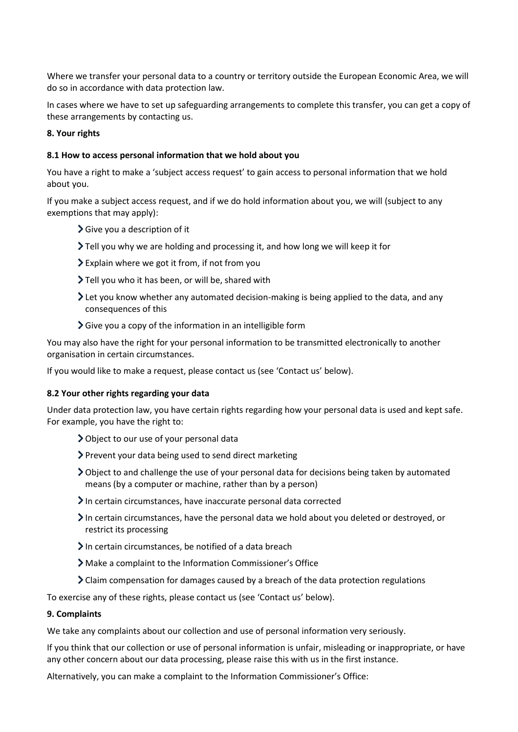Where we transfer your personal data to a country or territory outside the European Economic Area, we will do so in accordance with data protection law.

In cases where we have to set up safeguarding arrangements to complete this transfer, you can get a copy of these arrangements by contacting us.

# **8. Your rights**

# **8.1 How to access personal information that we hold about you**

You have a right to make a 'subject access request' to gain access to personal information that we hold about you.

If you make a subject access request, and if we do hold information about you, we will (subject to any exemptions that may apply):

- $\sum$  Give you a description of it
- Tell you why we are holding and processing it, and how long we will keep it for
- Explain where we got it from, if not from you
- Tell you who it has been, or will be, shared with
- Let you know whether any automated decision-making is being applied to the data, and any consequences of this
- $\sum$  Give you a copy of the information in an intelligible form

You may also have the right for your personal information to be transmitted electronically to another organisation in certain circumstances.

If you would like to make a request, please contact us (see 'Contact us' below).

#### **8.2 Your other rights regarding your data**

Under data protection law, you have certain rights regarding how your personal data is used and kept safe. For example, you have the right to:

- Object to our use of your personal data
- Prevent your data being used to send direct marketing
- Object to and challenge the use of your personal data for decisions being taken by automated means (by a computer or machine, rather than by a person)
- In certain circumstances, have inaccurate personal data corrected
- In certain circumstances, have the personal data we hold about you deleted or destroyed, or restrict its processing
- In certain circumstances, be notified of a data breach
- Make a complaint to the Information Commissioner's Office
- Claim compensation for damages caused by a breach of the data protection regulations

To exercise any of these rights, please contact us (see 'Contact us' below).

#### **9. Complaints**

We take any complaints about our collection and use of personal information very seriously.

If you think that our collection or use of personal information is unfair, misleading or inappropriate, or have any other concern about our data processing, please raise this with us in the first instance.

Alternatively, you can make a complaint to the Information Commissioner's Office: